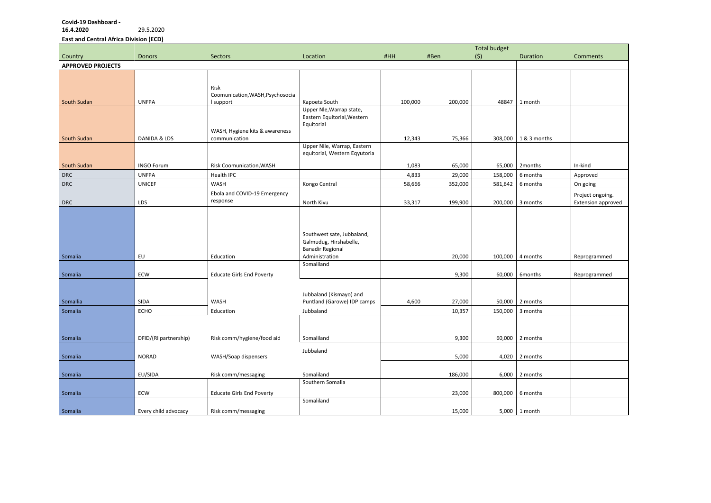## **Covid-19 Dashboard -**

**16.4.2020** 29.5.2020

**East and Central Africa Division (ECD)**

|                          |                       |                                                 |                                                                                                                 |         |         | <b>Total budget</b> |                    |                    |
|--------------------------|-----------------------|-------------------------------------------------|-----------------------------------------------------------------------------------------------------------------|---------|---------|---------------------|--------------------|--------------------|
| Country                  | <b>Donors</b>         | Sectors                                         | Location                                                                                                        | #HH     | #Ben    | (5)                 | Duration           | <b>Comments</b>    |
| <b>APPROVED PROJECTS</b> |                       |                                                 |                                                                                                                 |         |         |                     |                    |                    |
|                          |                       | Risk<br>Coomunication, WASH, Psychosocia        |                                                                                                                 |         |         |                     |                    |                    |
| South Sudan              | <b>UNFPA</b>          | I support                                       | Kapoeta South                                                                                                   | 100,000 | 200,000 | 48847               | 1 month            |                    |
| South Sudan              | DANIDA & LDS          | WASH, Hygiene kits & awareness<br>communication | Upper Nle, Warrap state,<br>Eastern Equitorial, Western<br>Equitorial                                           | 12,343  | 75,366  | 308,000             | 1 & 3 months       |                    |
|                          |                       |                                                 | Upper Nile, Warrap, Eastern<br>equitorial, Western Eqyutoria                                                    |         |         |                     |                    |                    |
| South Sudan              | <b>INGO Forum</b>     | Risk Coomunication, WASH                        |                                                                                                                 | 1,083   | 65,000  | 65,000              | 2months            | In-kind            |
| DRC                      | <b>UNFPA</b>          | Health IPC                                      |                                                                                                                 | 4,833   | 29,000  | 158,000             | 6 months           | Approved           |
| <b>DRC</b>               | <b>UNICEF</b>         | WASH                                            | Kongo Central                                                                                                   | 58,666  | 352,000 | 581,642             | 6 months           | On going           |
|                          |                       | Ebola and COVID-19 Emergency                    |                                                                                                                 |         |         |                     |                    | Project ongoing.   |
| DRC                      | LDS                   | response                                        | North Kivu                                                                                                      | 33,317  | 199,900 | 200,000             | 3 months           | Extension approved |
| Somalia                  | EU                    | Education                                       | Southwest sate, Jubbaland,<br>Galmudug, Hirshabelle,<br><b>Banadir Regional</b><br>Administration<br>Somaliland |         | 20,000  | 100,000             | 4 months           | Reprogrammed       |
| Somalia                  | ECW                   | <b>Educate Girls End Poverty</b>                |                                                                                                                 |         | 9,300   | 60,000              | 6months            | Reprogrammed       |
| Somallia                 | SIDA                  | WASH                                            | Jubbaland (Kismayo) and<br>Puntland (Garowe) IDP camps                                                          | 4,600   | 27,000  | 50,000              | 2 months           |                    |
| Somalia                  | ECHO                  | Education                                       | Jubbaland                                                                                                       |         | 10,357  |                     | $150,000$ 3 months |                    |
| Somalia                  | DFID/(RI partnership) | Risk comm/hygiene/food aid                      | Somaliland                                                                                                      |         | 9,300   |                     | 60,000 2 months    |                    |
| Somalia                  | <b>NORAD</b>          | WASH/Soap dispensers                            | Jubbaland                                                                                                       |         | 5,000   | 4,020               | 2 months           |                    |
| Somalia                  | EU/SIDA               | Risk comm/messaging                             | Somaliland<br>Southern Somalia                                                                                  |         | 186,000 | 6,000               | 2 months           |                    |
| Somalia                  | ECW                   | <b>Educate Girls End Poverty</b>                |                                                                                                                 |         | 23,000  |                     | 800,000   6 months |                    |
| Somalia                  | Every child advocacy  | Risk comm/messaging                             | Somaliland                                                                                                      |         | 15,000  |                     | $5,000$ 1 month    |                    |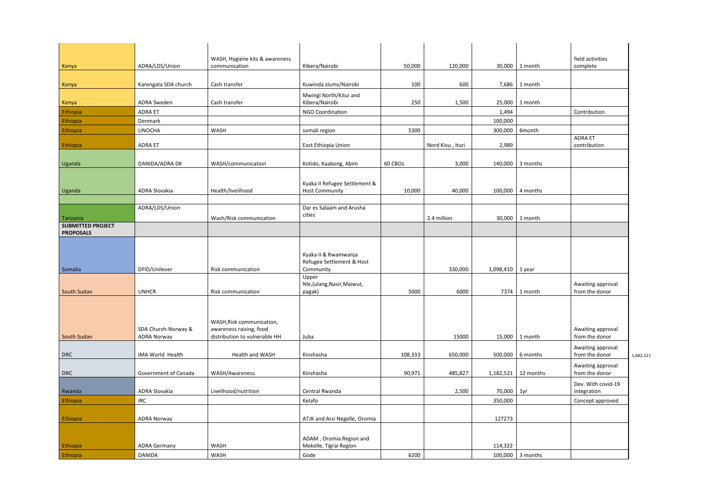| ٦th         | field activities<br>complete        |           |
|-------------|-------------------------------------|-----------|
| ٦th         |                                     |           |
| ٦th         |                                     |           |
|             | Contribution                        |           |
| th          | <b>ADRA ET</b>                      |           |
|             | contribution                        |           |
| <b>nths</b> |                                     |           |
| <b>nths</b> |                                     |           |
| ٦th         |                                     |           |
|             |                                     |           |
|             |                                     |           |
| ſ           |                                     |           |
| ٦th         | Awaiting approval<br>from the donor |           |
|             |                                     |           |
| ነth         | Awaiting approval<br>from the donor |           |
| <b>nths</b> | Awaiting approval<br>from the donor | 1,682,521 |
| onths       | Awaiting approval<br>from the donor |           |
|             | Dev. With covid-19<br>integration   |           |
|             | Concept approved                    |           |
|             |                                     |           |
|             |                                     |           |
| <b>nths</b> |                                     |           |

|                                      |                      | WASH, Hygiene kits & awareness                           |                                                   |         |                  |                      |                          | field activities                    |
|--------------------------------------|----------------------|----------------------------------------------------------|---------------------------------------------------|---------|------------------|----------------------|--------------------------|-------------------------------------|
| Kenya                                | ADRA/LDS/Union       | communication                                            | Kibera/Nairobi                                    | 50,000  | 120,000          | 30,000               | 1 month                  | complete                            |
|                                      |                      |                                                          |                                                   |         |                  |                      |                          |                                     |
| Kenya                                | Karengata SDA church | Cash transfer                                            | Kuwinda slums/Nairobi                             | 100     | 600              |                      | 7,686 1 month            |                                     |
|                                      |                      |                                                          | Mwingi North/Kitui and                            |         |                  |                      |                          |                                     |
| Kenya                                | <b>ADRA Sweden</b>   | Cash transfer                                            | Kibera/Nairobi                                    | 250     | 1,500            |                      | 25,000 1 month           |                                     |
| Ethiopia                             | <b>ADRA ET</b>       |                                                          | <b>NGO Coordination</b>                           |         |                  | 1,494                |                          | Contribution                        |
| Ethiopia                             | Denmark              |                                                          |                                                   |         |                  | 100,000              |                          |                                     |
| Ethiopia                             | <b>UNOCHA</b>        | WASH                                                     | somali region                                     | 5300    |                  | 300,000              | 6month                   |                                     |
|                                      |                      |                                                          |                                                   |         |                  |                      |                          | <b>ADRA ET</b>                      |
| Ethiopia                             | <b>ADRA ET</b>       |                                                          | East Ethiopia Union                               |         | Nord Kivu, Ituri | 2,989                |                          | contribution                        |
|                                      |                      |                                                          |                                                   |         |                  |                      |                          |                                     |
| Uganda                               | DANIDA/ADRA DK       | WASH/communication                                       | Kotido, Kaabong, Abim                             | 60 CBOs | 3,000            |                      | 140,000 3 months         |                                     |
|                                      |                      |                                                          |                                                   |         |                  |                      |                          |                                     |
|                                      |                      |                                                          | Kyaka II Refugee Settlement &                     |         |                  |                      |                          |                                     |
| Uganda                               | ADRA Slovakia        | Health/livelihood                                        | <b>Host Community</b>                             | 10,000  | 40,000           |                      | 100,000 $\vert$ 4 months |                                     |
|                                      | ADRA/LDS/Union       |                                                          | Dar es Salaam and Arusha                          |         |                  |                      |                          |                                     |
|                                      |                      |                                                          | cities                                            |         |                  |                      |                          |                                     |
| Tanzania<br><b>SUBMITTED PROJECT</b> |                      | Wash/Risk communication                                  |                                                   |         | 2.4 million      | 30,000               | 1 month                  |                                     |
| <b>PROPOSALS</b>                     |                      |                                                          |                                                   |         |                  |                      |                          |                                     |
|                                      |                      |                                                          |                                                   |         |                  |                      |                          |                                     |
|                                      |                      |                                                          |                                                   |         |                  |                      |                          |                                     |
|                                      |                      |                                                          | Kyaka II & Rwamwanja<br>Refugee Settlement & Host |         |                  |                      |                          |                                     |
| Somalia                              | DFID/Unilever        | Risk communication                                       | Community                                         |         | 330,000          | $1,098,410$   1 year |                          |                                     |
|                                      |                      |                                                          | Upper                                             |         |                  |                      |                          |                                     |
|                                      |                      |                                                          | Nle, (ulang, Nasir, Maiwut,                       |         |                  |                      |                          | Awaiting approval                   |
| <b>South Sudan</b>                   | <b>UNHCR</b>         | Risk communication                                       | pagak)                                            | 5000    | 6000             |                      | 7374 1 month             | from the donor                      |
|                                      |                      |                                                          |                                                   |         |                  |                      |                          |                                     |
|                                      |                      |                                                          |                                                   |         |                  |                      |                          |                                     |
|                                      |                      | WASH, Risk communication,                                |                                                   |         |                  |                      |                          |                                     |
| South Sudan                          | SDA Church-Norway &  | awareness raising, food<br>distribution to vulnerable HH | Juba                                              |         | 15000            |                      | 15,000 1 month           | Awaiting approval<br>from the donor |
|                                      | <b>ADRA Norway</b>   |                                                          |                                                   |         |                  |                      |                          |                                     |
|                                      | IMA World Health     | Health and WASH                                          | Kinshasha                                         |         |                  |                      | 500,000 6 months         | Awaiting approval<br>from the donor |
| <b>DRC</b>                           |                      |                                                          |                                                   | 108,333 | 650,000          |                      |                          |                                     |
|                                      | Government of Canada | WASH/Awareness                                           | Kinshasha                                         | 90,971  |                  |                      |                          | Awaiting approval<br>from the donor |
| <b>DRC</b>                           |                      |                                                          |                                                   |         | 485,827          |                      | $1,182,521$ 12 months    |                                     |
| Rwanda                               | ADRA Slovakia        | Livelihood/nutrition                                     | Central Rwanda                                    |         | 2,500            | 70,000 1yr           |                          | Dev. With covid-1<br>integration    |
| Ethiopia                             | <b>IRC</b>           |                                                          | Kelafo                                            |         |                  |                      |                          |                                     |
|                                      |                      |                                                          |                                                   |         |                  | 350,000              |                          | Concept approved                    |
| Ethiopia                             | <b>ADRA Norway</b>   |                                                          | ATJK and Arsi Negelle, Oromia                     |         |                  | 127273               |                          |                                     |
|                                      |                      |                                                          |                                                   |         |                  |                      |                          |                                     |
|                                      |                      |                                                          |                                                   |         |                  |                      |                          |                                     |
| Ethiopia                             | <b>ADRA Germany</b>  | WASH                                                     | ADAM, Oromia Region and<br>Mekelle, Tigrai Region |         |                  | 114,322              |                          |                                     |
|                                      | <b>DANIDA</b>        | WASH                                                     | Gode                                              | 6200    |                  |                      | $100,000$ 3 months       |                                     |
| Ethiopia                             |                      |                                                          |                                                   |         |                  |                      |                          |                                     |